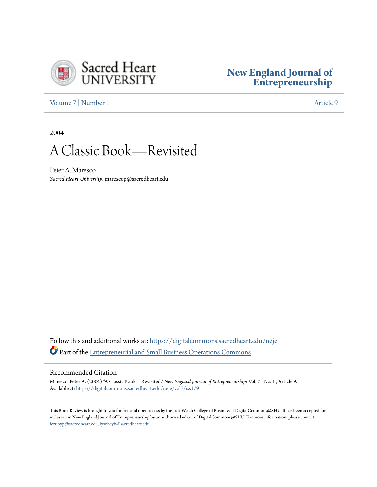

### **[New England Journal of](https://digitalcommons.sacredheart.edu/neje?utm_source=digitalcommons.sacredheart.edu%2Fneje%2Fvol7%2Fiss1%2F9&utm_medium=PDF&utm_campaign=PDFCoverPages) [Entrepreneurship](https://digitalcommons.sacredheart.edu/neje?utm_source=digitalcommons.sacredheart.edu%2Fneje%2Fvol7%2Fiss1%2F9&utm_medium=PDF&utm_campaign=PDFCoverPages)**

[Volume 7](https://digitalcommons.sacredheart.edu/neje/vol7?utm_source=digitalcommons.sacredheart.edu%2Fneje%2Fvol7%2Fiss1%2F9&utm_medium=PDF&utm_campaign=PDFCoverPages) | [Number 1](https://digitalcommons.sacredheart.edu/neje/vol7/iss1?utm_source=digitalcommons.sacredheart.edu%2Fneje%2Fvol7%2Fiss1%2F9&utm_medium=PDF&utm_campaign=PDFCoverPages) [Article 9](https://digitalcommons.sacredheart.edu/neje/vol7/iss1/9?utm_source=digitalcommons.sacredheart.edu%2Fneje%2Fvol7%2Fiss1%2F9&utm_medium=PDF&utm_campaign=PDFCoverPages)

2004

# A Classic Book—Revisited

Peter A. Maresco *Sacred Heart University*, marescop@sacredheart.edu

Follow this and additional works at: [https://digitalcommons.sacredheart.edu/neje](https://digitalcommons.sacredheart.edu/neje?utm_source=digitalcommons.sacredheart.edu%2Fneje%2Fvol7%2Fiss1%2F9&utm_medium=PDF&utm_campaign=PDFCoverPages) Part of the [Entrepreneurial and Small Business Operations Commons](http://network.bepress.com/hgg/discipline/630?utm_source=digitalcommons.sacredheart.edu%2Fneje%2Fvol7%2Fiss1%2F9&utm_medium=PDF&utm_campaign=PDFCoverPages)

#### Recommended Citation

Maresco, Peter A. (2004) "A Classic Book—Revisited," *New England Journal of Entrepreneurship*: Vol. 7 : No. 1 , Article 9. Available at: [https://digitalcommons.sacredheart.edu/neje/vol7/iss1/9](https://digitalcommons.sacredheart.edu/neje/vol7/iss1/9?utm_source=digitalcommons.sacredheart.edu%2Fneje%2Fvol7%2Fiss1%2F9&utm_medium=PDF&utm_campaign=PDFCoverPages)

This Book Review is brought to you for free and open access by the Jack Welch College of Business at DigitalCommons@SHU. It has been accepted for inclusion in New England Journal of Entrepreneurship by an authorized editor of DigitalCommons@SHU. For more information, please contact [ferribyp@sacredheart.edu, lysobeyb@sacredheart.edu.](mailto:ferribyp@sacredheart.edu,%20lysobeyb@sacredheart.edu)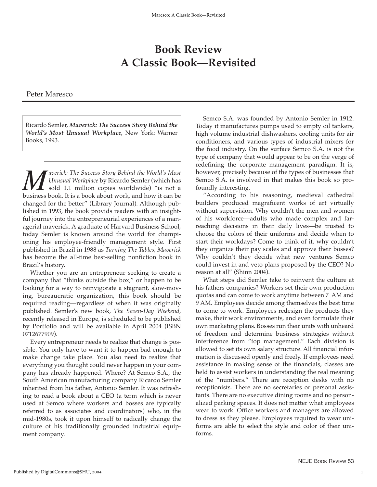## **Book Review A Classic Book—Revisited**

#### Peter Maresco

Ricardo Semler, *Maverick: The Success Story Behind the World's Most Unusual Workplace,* New York: Warner Books, 1993.

*Maverick: The Success Story Behind the World's Most Unusual Workplace* by Ricardo Semler (which has sold 1.1 million copies worldwide) "is not a business book. It is a book about work, and how it can be changed for the better" (Library Journal). Although published in 1993, the book provids readers with an insightful journey into the entrepreneurial experiences of a managerial maverick. A graduate of Harvard Business School, today Semler is known around the world for championing his employee-friendly management style. First published in Brazil in 1988 as *Turning The Tables, Maverick* has become the all-time best-selling nonfiction book in Brazil's history.

Whether you are an entrepreneur seeking to create a company that "thinks outside the box," or happen to be looking for a way to reinvigorate a stagnant, slow-moving, bureaucratic organization, this book should be required reading—regardless of when it was originally published. Semler's new book, *The Seven-Day Weekend,* recently released in Europe, is scheduled to be published by Portfolio and will be available in April 2004 (ISBN 0712677909).

Every entrepreneur needs to realize that change is possible. You only have to want it to happen bad enough to make change take place. You also need to realize that everything you thought could never happen in your company has already happened. Where? At Semco S.A., the South American manufacturing company Ricardo Semler inherited from his father, Antonio Semler. It was refreshing to read a book about a CEO (a term which is never used at Semco where workers and bosses are typically referred to as associates and coordinators) who, in the mid-1980s, took it upon himself to radically change the culture of his traditionally grounded industrial equipment company.

Semco S.A. was founded by Antonio Semler in 1912. Today it manufactures pumps used to empty oil tankers, high volume industrial dishwashers, cooling units for air conditioners, and various types of industrial mixers for the food industry. On the surface Semco S.A. is not the type of company that would appear to be on the verge of redefining the corporate management paradigm. It is, however, precisely because of the types of businesses that Semco S.A. is involved in that makes this book so profoundly interesting.

"According to his reasoning, medieval cathedral builders produced magnificent works of art virtually without supervision. Why couldn't the men and women of his workforce—adults who made complex and farreaching decisions in their daily lives—be trusted to choose the colors of their uniforms and decide when to start their workdays? Come to think of it, why couldn't they organize their pay scales and approve their bosses? Why couldn't they decide what new ventures Semco could invest in and veto plans proposed by the CEO? No reason at all" (Shinn 2004).

What steps did Semler take to reinvent the culture at his fathers companies? Workers set their own production quotas and can come to work anytime between 7 AM and 9 AM. Employees decide among themselves the best time to come to work. Employees redesign the products they make, their work environments, and even formulate their own marketing plans. Bosses run their units with unheard of freedom and determine business strategies without interference from "top management." Each division is allowed to set its own salary structure. All financial information is discussed openly and freely. If employees need assistance in making sense of the financials, classes are held to assist workers in understanding the real meaning of the "numbers." There are reception desks with no receptionists. There are no secretaries or personal assistants. There are no executive dining rooms and no personalized parking spaces. It does not matter what employees wear to work. Office workers and managers are allowed to dress as they please. Employees required to wear uniforms are able to select the style and color of their uniforms.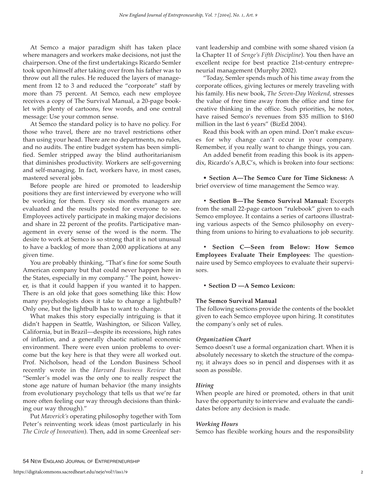At Semco a major paradigm shift has taken place where managers and workers make decisions, not just the chairperson. One of the first undertakings Ricardo Semler took upon himself after taking over from his father was to throw out all the rules. He reduced the layers of management from 12 to 3 and reduced the "corporate" staff by more than 75 percent. At Semco, each new employee receives a copy of The Survival Manual, a 20-page booklet with plenty of cartoons, few words, and one central message: Use your common sense.

At Semco the standard policy is to have no policy. For those who travel, there are no travel restrictions other than using your head. There are no departments, no rules, and no audits. The entire budget system has been simplified. Semler stripped away the blind authoritarianism that diminishes productivity. Workers are self-governing and self-managing. In fact, workers have, in most cases, mastered several jobs.

Before people are hired or promoted to leadership positions they are first interviewed by everyone who will be working for them. Every six months managers are evaluated and the results posted for everyone to see. Employees actively participate in making major decisions and share in 22 percent of the profits. Participative management in every sense of the word is the norm. The desire to work at Semco is so strong that it is not unusual to have a backlog of more than 2,000 applications at any given time.

You are probably thinking, "That's fine for some South American company but that could never happen here in the States, especially in my company." The point, however, is that it could happen if you wanted it to happen. There is an old joke that goes something like this: How many psychologists does it take to change a lightbulb? Only one, but the lightbulb has to want to change.

What makes this story especially intriguing is that it didn't happen in Seattle, Washington, or Silicon Valley, California, but in Brazil—despite its recessions, high rates of inflation, and a generally chaotic national economic environment. There were even union problems to overcome but the key here is that they were all worked out. Prof. Nicholson, head of the London Business School recently wrote in the *Harvard Business Review* that "Semler's model was the only one to really respect the stone age nature of human behavior (the many insights from evolutionary psychology that tells us that we're far more often feeling our way through decisions than thinking our way through)."

Put *Maverick's* operating philosophy together with Tom Peter's reinventing work ideas (most particularly in his *The Circle of Innovation*). Then, add in some Greenleaf ser-

vant leadership and combine with some shared vision (a la Chapter 11 of *Senge's Fifth Discipline*). You then have an excellent recipe for best practice 21st-century entrepreneurial management (Murphy 2002).

"Today, Semler spends much of his time away from the corporate offices, giving lectures or merely traveling with his family. His new book, *The Seven-Day Weekend,* stresses the value of free time away from the office and time for creative thinking in the office. Such priorities, he notes, have raised Semco's revenues from \$35 million to \$160 million in the last 6 years" (BizEd 2004).

Read this book with an open mind. Don't make excuses for why change can't occur in your company. Remember, if you really want to change things, you can.

An added benefit from reading this book is its appendix, Ricardo's A,B,C's, which is broken into four sections:

• **Section A—The Semco Cure for Time Sickness:** A brief overview of time management the Semco way.

**• Section B—The Semco Survival Manual:** Excerpts from the small 22-page cartoon "rulebook" given to each Semco employee. It contains a series of cartoons illustrating various aspects of the Semco philosophy on everything from unions to hiring to evaluations to job security.

**• Section C—Seen from Below: How Semco Employees Evaluate Their Employees:** The questionnaire used by Semco employees to evaluate their supervisors.

**• Section D —A Semco Lexicon:**

#### **The Semco Survival Manual**

The following sections provide the contents of the booklet given to each Semco employee upon hiring. It constitutes the company's only set of rules.

#### *Organization Chart*

Semco doesn't use a formal organization chart. When it is absolutely necessary to sketch the structure of the company, it always does so in pencil and dispenses with it as soon as possible.

#### *Hiring*

When people are hired or promoted, others in that unit have the opportunity to interview and evaluate the candidates before any decision is made.

#### *Working Hours*

Semco has flexible working hours and the responsibility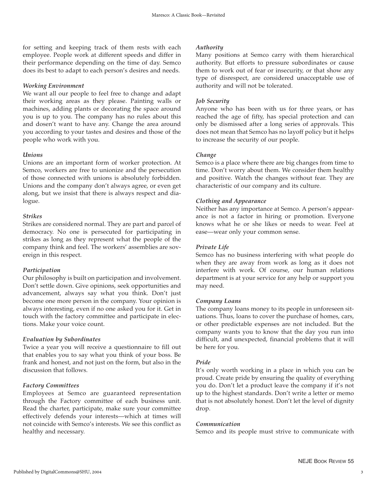for setting and keeping track of them rests with each employee. People work at different speeds and differ in their performance depending on the time of day. Semco does its best to adapt to each person's desires and needs.

#### *Working Environment*

We want all our people to feel free to change and adapt their working areas as they please. Painting walls or machines, adding plants or decorating the space around you is up to you. The company has no rules about this and dosen't want to have any. Change the area around you according to your tastes and desires and those of the people who work with you.

#### *Unions*

Unions are an important form of worker protection. At Semco, workers are free to unionize and the persecution of those connected with unions is absolutely forbidden. Unions and the company don't always agree, or even get along, but we insist that there is always respect and dialogue.

#### *Strikes*

Strikes are considered normal. They are part and parcel of democracy. No one is persecuted for participating in strikes as long as they represent what the people of the company think and feel. The workers' assemblies are sovereign in this respect.

#### *Participation*

Our philosophy is built on participation and involvement. Don't settle down. Give opinions, seek opportunities and advancement, always say what you think. Don't just become one more person in the company. Your opinion is always interesting, even if no one asked you for it. Get in touch with the factory committee and participate in elections. Make your voice count.

#### *Evaluation by Subordinates*

Twice a year you will receive a questionnaire to fill out that enables you to say what you think of your boss. Be frank and honest, and not just on the form, but also in the discussion that follows.

#### *Factory Committees*

Employees at Semco are guaranteed representation through the Factory committee of each business unit. Read the charter, participate, make sure your committee effectively defends your interests—which at times will not coincide with Semco's interests. We see this conflict as healthy and necessary.

#### *Authority*

Many positions at Semco carry with them hierarchical authority. But efforts to pressure subordinates or cause them to work out of fear or insecurity, or that show any type of disrespect, are considered unacceptable use of authority and will not be tolerated.

#### *Job Security*

Anyone who has been with us for three years, or has reached the age of fifty, has special protection and can only be dismissed after a long series of approvals. This does not mean that Semco has no layoff policy but it helps to increase the security of our people.

#### *Change*

Semco is a place where there are big changes from time to time. Don't worry about them. We consider them healthy and positive. Watch the changes without fear. They are characteristic of our company and its culture.

#### *Clothing and Appearance*

Neither has any importance at Semco. A person's appearance is not a factor in hiring or promotion. Everyone knows what he or she likes or needs to wear. Feel at ease—wear only your common sense.

#### *Private Life*

Semco has no business interfering with what people do when they are away from work as long as it does not interfere with work. Of course, our human relations department is at your service for any help or support you may need.

#### *Company Loans*

The company loans money to its people in unforeseen situations. Thus, loans to cover the purchase of homes, cars, or other predictable expenses are not included. But the company wants you to know that the day you run into difficult, and unexpected, financial problems that it will be here for you.

#### *Pride*

It's only worth working in a place in which you can be proud. Create pride by ensuring the quality of everything you do. Don't let a product leave the company if it's not up to the highest standards. Don't write a letter or memo that is not absolutely honest. Don't let the level of dignity drop.

#### *Communication*

Semco and its people must strive to communicate with